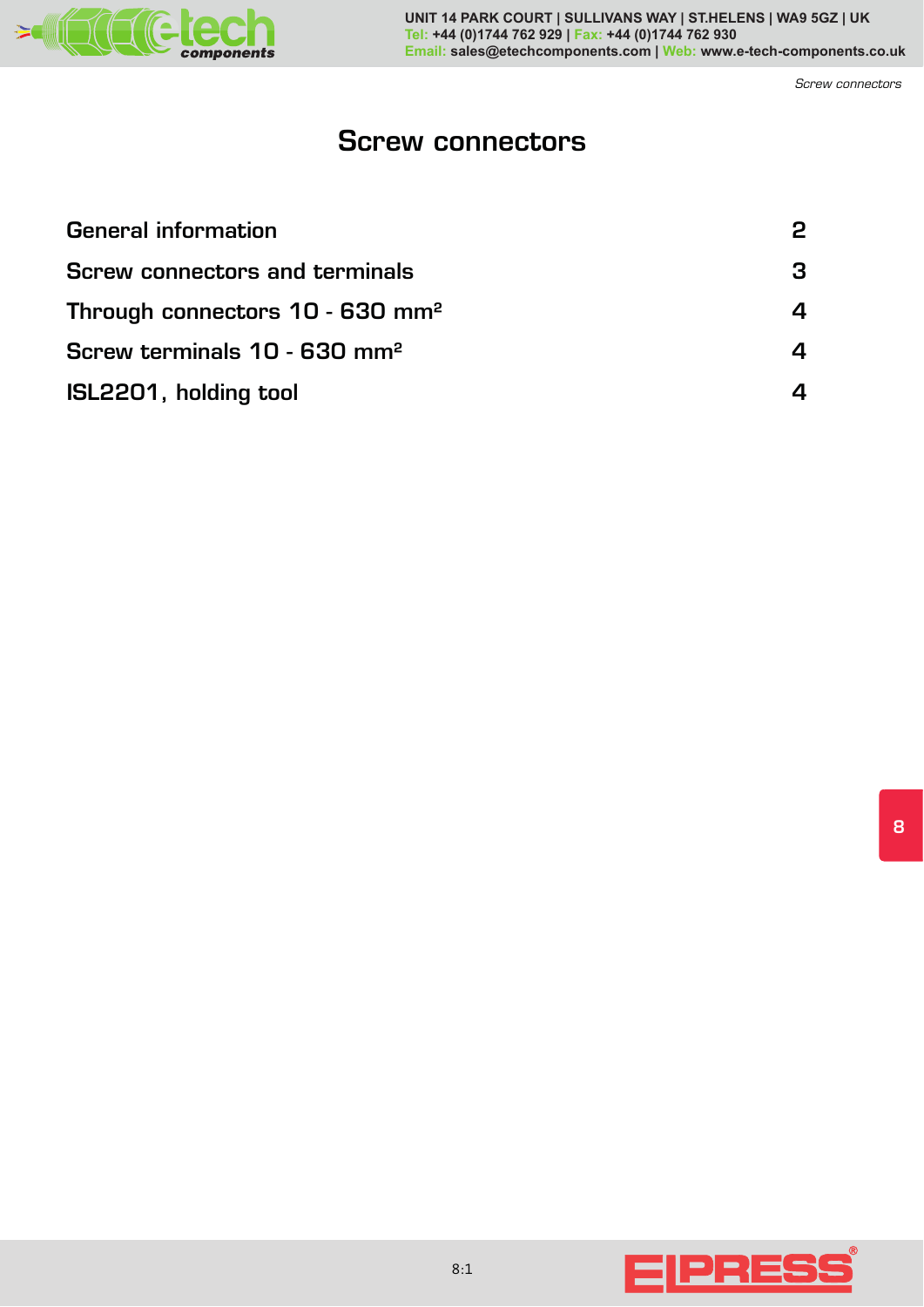

**UNIT 14 PARK COURT | SULLIVANS WAY | ST.HELENS | WA9 5GZ | UK Tel: +44 (0)1744 762 929 | Fax: +44 (0)1744 762 930 Email: sales@etechcomponents.com | Web: www.e-tech-components.co.uk**

*Screw connectors*

# **Screw connectors**

| <b>General information</b>                    |  |
|-----------------------------------------------|--|
| <b>Screw connectors and terminals</b>         |  |
| Through connectors $10 - 630$ mm <sup>2</sup> |  |
| Screw terminals 10 - 630 mm <sup>2</sup>      |  |
| ISL2201, holding tool                         |  |



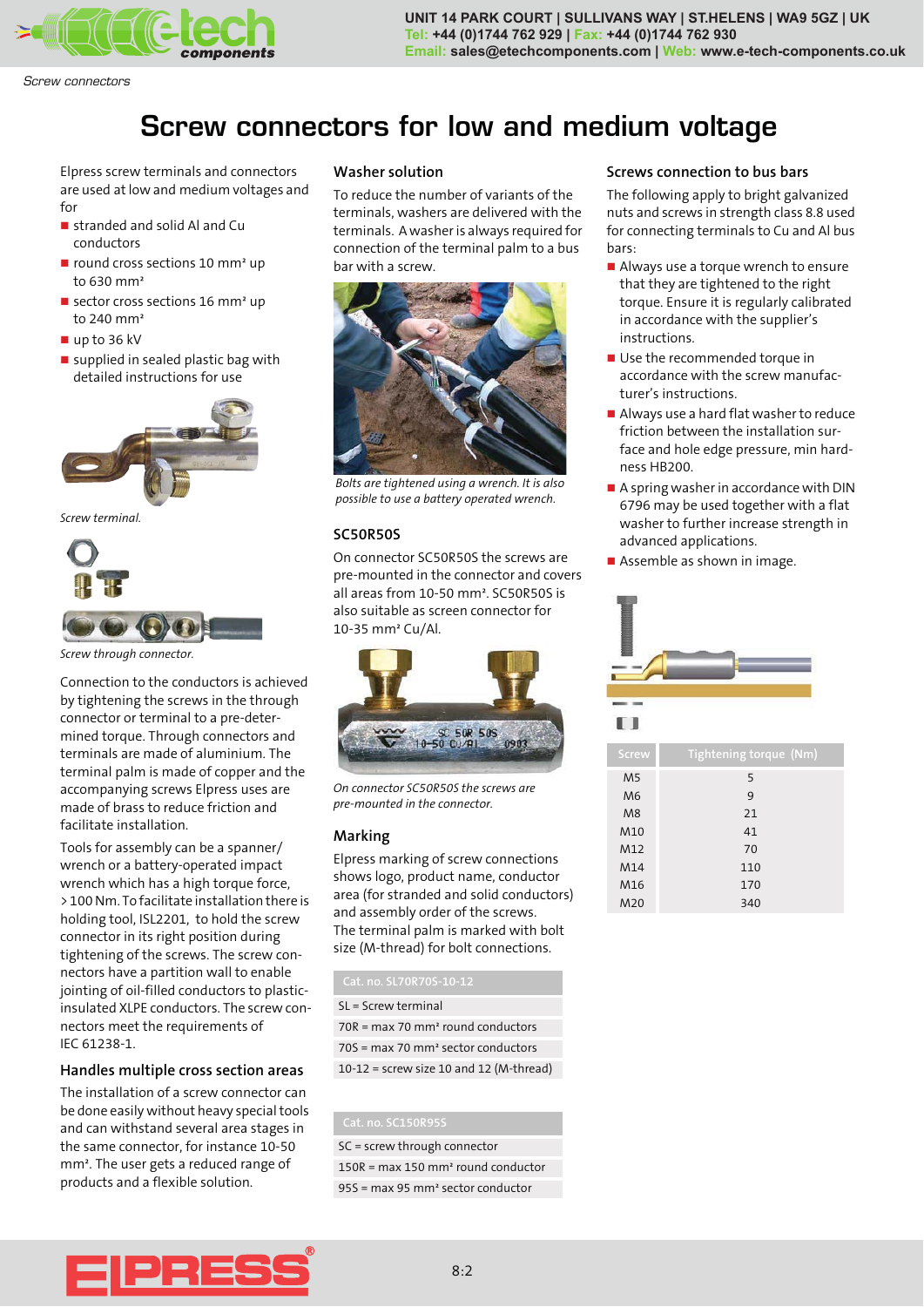

**UNIT 14 PARK COURT | SULLIVANS WAY | ST.HELENS | WA9 5GZ | UK Tel: +44 (0)1744 762 929 | Fax: +44 (0)1744 762 930 Email: sales@etechcomponents.com | Web: www.e-tech-components.co.uk**

*Screw connectors*

# **Screw connectors for low and medium voltage**

Elpress screw terminals and connectors are used at low and medium voltages and for

- stranded and solid Al and Cu conductors
- **n** round cross sections 10 mm<sup>2</sup> up to 630 mm²
- sector cross sections 16 mm<sup>2</sup> up to 240 mm²
- up to 36 kV
- supplied in sealed plastic bag with detailed instructions for use



*Screw terminal.*



*Screw through connector.*

Connection to the conductors is achieved by tightening the screws in the through connector or terminal to a pre-determined torque. Through connectors and terminals are made of aluminium. The terminal palm is made of copper and the accompanying screws Elpress uses are made of brass to reduce friction and facilitate installation.

Tools for assembly can be a spanner/ wrench or a battery-operated impact wrench which has a high torque force, > 100 Nm. To facilitate installation there is holding tool, ISL2201, to hold the screw connector in its right position during tightening of the screws. The screw connectors have a partition wall to enable jointing of oil-filled conductors to plasticinsulated XLPE conductors. The screw connectors meet the requirements of IEC 61238-1.

### **Handles multiple cross section areas**

The installation of a screw connector can be done easily without heavy special tools and can withstand several area stages in the same connector, for instance 10-50 mm². The user gets a reduced range of products and a flexible solution.

### **Washer solution**

To reduce the number of variants of the terminals, washers are delivered with the terminals. A washer is always required for connection of the terminal palm to a bus bar with a screw.



*Bolts are tightened using a wrench. It is also possible to use a battery operated wrench.*

### **SC50R50S**

On connector SC50R50S the screws are pre-mounted in the connector and covers all areas from 10-50 mm². SC50R50S is also suitable as screen connector for 10-35 mm² Cu/Al.



*On connector SC50R50S the screws are pre-mounted in the connector.*

## **Marking**

Elpress marking of screw connections shows logo, product name, conductor area (for stranded and solid conductors) and assembly order of the screws. The terminal palm is marked with bolt size (M-thread) for bolt connections.

| Cat. no. SL70R70S-10-12                        |
|------------------------------------------------|
| $SL =$ Screw terminal                          |
| 70R = max 70 mm <sup>2</sup> round conductors  |
| 70S = max 70 mm <sup>2</sup> sector conductors |
| $10-12$ = screw size 10 and 12 (M-thread)      |

SC = screw through connector 150R = max 150 mm² round conductor 95S = max 95 mm² sector conductor

### **Screws connection to bus bars**

The following apply to bright galvanized nuts and screws in strength class 8.8 used for connecting terminals to Cu and Al bus bars:

- **Always use a torque wrench to ensure** that they are tightened to the right torque. Ensure it is regularly calibrated in accordance with the supplier's instructions.
- **Use the recommended torque in** accordance with the screw manufacturer's instructions.
- Always use a hard flat washer to reduce friction between the installation surface and hole edge pressure, min hardness HB200.
- A spring washer in accordance with DIN 6796 may be used together with a flat washer to further increase strength in advanced applications.
- **Assemble as shown in image.**





| Screw           | <b>Tightening torque (Nm)</b> |
|-----------------|-------------------------------|
| M <sub>5</sub>  | 5                             |
| M <sub>6</sub>  | 9                             |
| M8              | 21                            |
| M <sub>10</sub> | 41                            |
| M12             | 70                            |
| M14             | 110                           |
| M <sub>16</sub> | 170                           |
| M20             | 340                           |

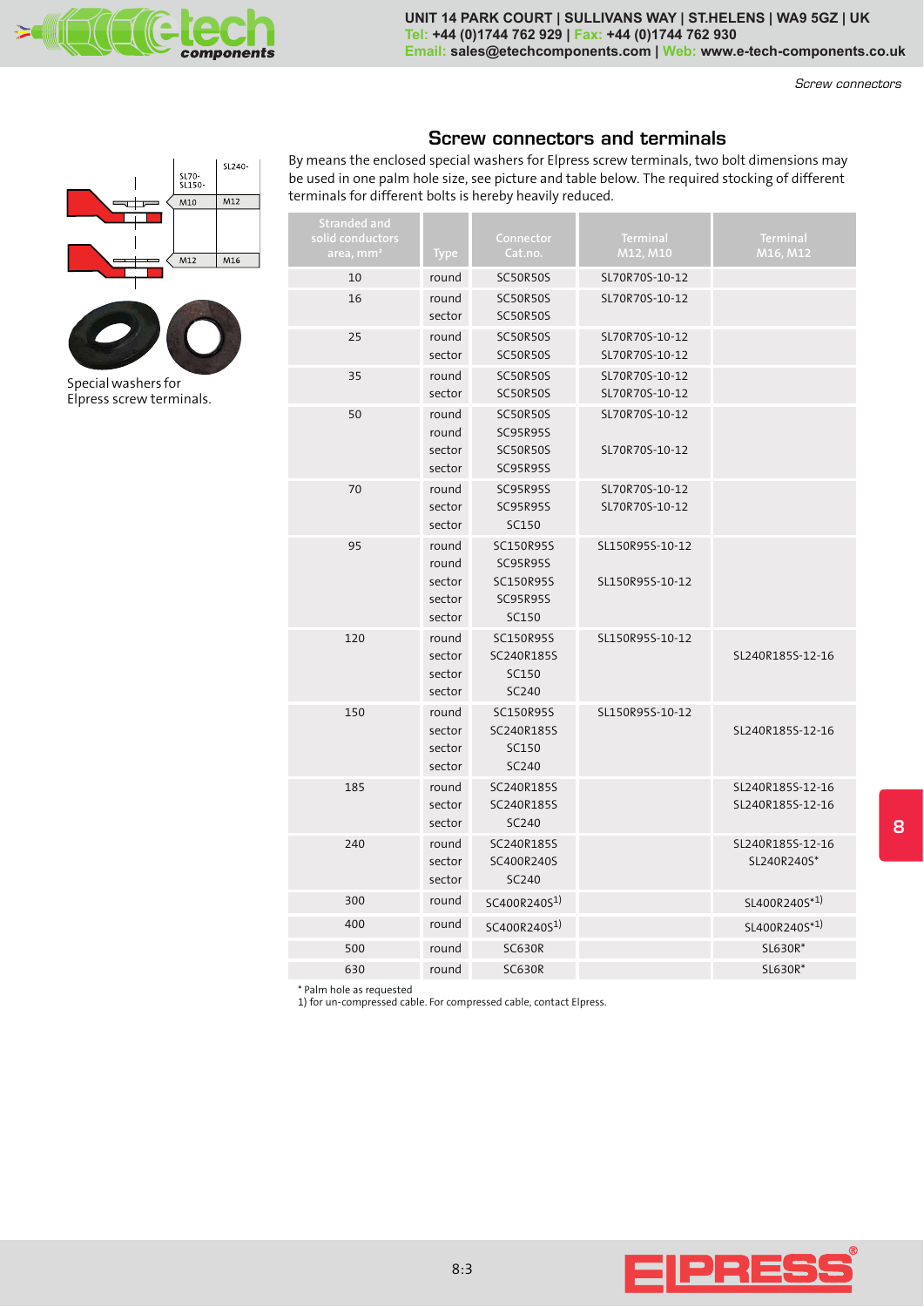

**UNIT 14 PARK COURT | SULLIVANS WAY | ST.HELENS | WA9 5GZ | UK Tel: +44 (0)1744 762 929 | Fax: +44 (0)1744 762 930 Email: sales@etechcomponents.com | Web: www.e-tech-components.co.uk**

*Screw connectors*

# **Screw connectors and terminals**

By means the enclosed special washers for Elpress screw terminals, two bolt dimensions may be used in one palm hole size, see picture and table below. The required stocking of different  $\frac{1570}{15150}$  be used in one palm hole size, see picture and table bel<br>  $\frac{1570}{15150}$   $\frac{1570}{15150}$  be used in one palm hole size, see picture and table bel

| <b>Stranded and</b><br>solid conductors<br>area, mm <sup>2</sup> | <b>Type</b>                                  | Connector<br>Cat.no.                                                                | <b>Terminal</b><br>M12, M10        | Terminal<br>M16, M12                 |
|------------------------------------------------------------------|----------------------------------------------|-------------------------------------------------------------------------------------|------------------------------------|--------------------------------------|
| 10                                                               | round                                        | SC50R50S                                                                            | SL70R70S-10-12                     |                                      |
| 16                                                               | round<br>sector                              | <b>SC50R50S</b><br><b>SC50R50S</b>                                                  | SL70R70S-10-12                     |                                      |
| 25                                                               | round<br>sector                              | <b>SC50R50S</b><br><b>SC50R50S</b>                                                  | SL70R70S-10-12<br>SL70R70S-10-12   |                                      |
| 35                                                               | round<br>sector                              | <b>SC50R50S</b><br><b>SC50R50S</b>                                                  | SL70R70S-10-12<br>SL70R70S-10-12   |                                      |
| 50                                                               | round<br>round<br>sector<br>sector           | <b>SC50R50S</b><br><b>SC95R95S</b><br><b>SC50R50S</b><br><b>SC95R95S</b>            | SL70R70S-10-12<br>SL70R70S-10-12   |                                      |
| 70                                                               | round<br>sector<br>sector                    | <b>SC95R95S</b><br><b>SC95R95S</b><br><b>SC150</b>                                  | SL70R70S-10-12<br>SL70R70S-10-12   |                                      |
| 95                                                               | round<br>round<br>sector<br>sector<br>sector | <b>SC150R95S</b><br><b>SC95R95S</b><br><b>SC150R95S</b><br><b>SC95R95S</b><br>SC150 | SL150R95S-10-12<br>SL150R95S-10-12 |                                      |
| 120                                                              | round<br>sector<br>sector<br>sector          | <b>SC150R95S</b><br>SC240R185S<br>SC150<br>SC240                                    | SL150R95S-10-12                    | SL240R185S-12-16                     |
| 150                                                              | round<br>sector<br>sector<br>sector          | <b>SC150R95S</b><br>SC240R185S<br>SC150<br>SC240                                    | SL150R95S-10-12                    | SL240R185S-12-16                     |
| 185                                                              | round<br>sector<br>sector                    | SC240R185S<br>SC240R185S<br>SC240                                                   |                                    | SL240R185S-12-16<br>SL240R185S-12-16 |
| 240                                                              | round<br>sector<br>sector                    | SC240R185S<br>SC400R240S<br>SC240                                                   |                                    | SL240R185S-12-16<br>SL240R240S*      |
| 300                                                              | round                                        | SC400R240S <sup>1)</sup>                                                            |                                    | SL400R240S*1)                        |
| 400                                                              | round                                        | SC400R240S <sup>1)</sup>                                                            |                                    | SL400R240S*1)                        |
| 500                                                              | round                                        | <b>SC630R</b>                                                                       |                                    | SL630R*                              |
| 630                                                              | round                                        | <b>SC630R</b>                                                                       |                                    | SL630R*                              |

\* Palm hole as requested

1) for un-compressed cable. For compressed cable, contact Elpress.





Elpress screw terminals.